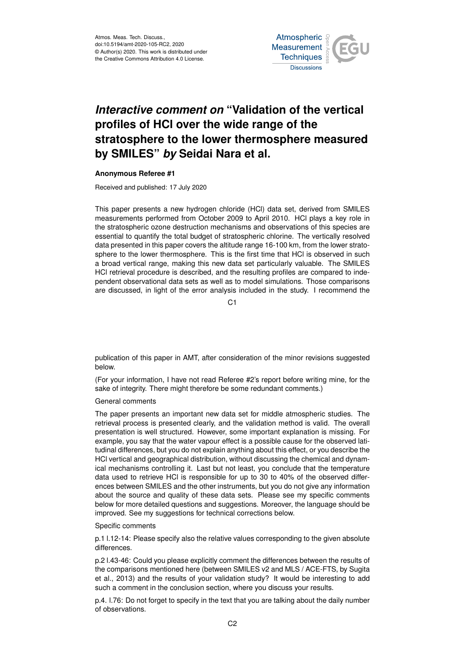

## *Interactive comment on* **"Validation of the vertical profiles of HCl over the wide range of the stratosphere to the lower thermosphere measured by SMILES"** *by* **Seidai Nara et al.**

## **Anonymous Referee #1**

Received and published: 17 July 2020

This paper presents a new hydrogen chloride (HCl) data set, derived from SMILES measurements performed from October 2009 to April 2010. HCl plays a key role in the stratospheric ozone destruction mechanisms and observations of this species are essential to quantify the total budget of stratospheric chlorine. The vertically resolved data presented in this paper covers the altitude range 16-100 km, from the lower stratosphere to the lower thermosphere. This is the first time that HCl is observed in such a broad vertical range, making this new data set particularly valuable. The SMILES HCl retrieval procedure is described, and the resulting profiles are compared to independent observational data sets as well as to model simulations. Those comparisons are discussed, in light of the error analysis included in the study. I recommend the

 $C<sub>1</sub>$ 

publication of this paper in AMT, after consideration of the minor revisions suggested below.

(For your information, I have not read Referee #2's report before writing mine, for the sake of integrity. There might therefore be some redundant comments.)

## General comments

The paper presents an important new data set for middle atmospheric studies. The retrieval process is presented clearly, and the validation method is valid. The overall presentation is well structured. However, some important explanation is missing. For example, you say that the water vapour effect is a possible cause for the observed latitudinal differences, but you do not explain anything about this effect, or you describe the HCl vertical and geographical distribution, without discussing the chemical and dynamical mechanisms controlling it. Last but not least, you conclude that the temperature data used to retrieve HCl is responsible for up to 30 to 40% of the observed differences between SMILES and the other instruments, but you do not give any information about the source and quality of these data sets. Please see my specific comments below for more detailed questions and suggestions. Moreover, the language should be improved. See my suggestions for technical corrections below.

## Specific comments

p.1 l.12-14: Please specify also the relative values corresponding to the given absolute differences.

p.2 l.43-46: Could you please explicitly comment the differences between the results of the comparisons mentioned here (between SMILES v2 and MLS / ACE-FTS, by Sugita et al., 2013) and the results of your validation study? It would be interesting to add such a comment in the conclusion section, where you discuss your results.

p.4. l.76: Do not forget to specify in the text that you are talking about the daily number of observations.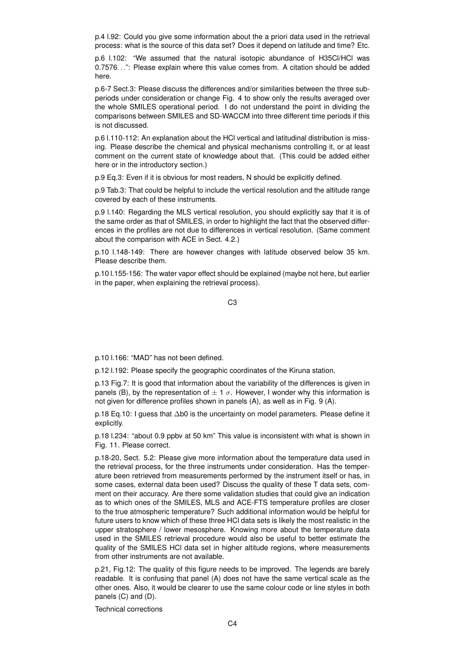p.4 l.92: Could you give some information about the a priori data used in the retrieval process: what is the source of this data set? Does it depend on latitude and time? Etc.

p.6 l.102: "We assumed that the natural isotopic abundance of H35Cl/HCl was 0.7576. . .": Please explain where this value comes from. A citation should be added here.

p.6-7 Sect.3: Please discuss the differences and/or similarities between the three subperiods under consideration or change Fig. 4 to show only the results averaged over the whole SMILES operational period. I do not understand the point in dividing the comparisons between SMILES and SD-WACCM into three different time periods if this is not discussed.

p.6 l.110-112: An explanation about the HCl vertical and latitudinal distribution is missing. Please describe the chemical and physical mechanisms controlling it, or at least comment on the current state of knowledge about that. (This could be added either here or in the introductory section.)

p.9 Eq.3: Even if it is obvious for most readers, N should be explicitly defined.

p.9 Tab.3: That could be helpful to include the vertical resolution and the altitude range covered by each of these instruments.

p.9 l.140: Regarding the MLS vertical resolution, you should explicitly say that it is of the same order as that of SMILES, in order to highlight the fact that the observed differences in the profiles are not due to differences in vertical resolution. (Same comment about the comparison with ACE in Sect. 4.2.)

p.10 l.148-149: There are however changes with latitude observed below 35 km. Please describe them.

p.10 l.155-156: The water vapor effect should be explained (maybe not here, but earlier in the paper, when explaining the retrieval process).

C3

p.10 l.166: "MAD" has not been defined.

p.12 l.192: Please specify the geographic coordinates of the Kiruna station.

p.13 Fig.7: It is good that information about the variability of the differences is given in panels (B), by the representation of  $\pm 1 \sigma$ . However, I wonder why this information is not given for difference profiles shown in panels (A), as well as in Fig. 9 (A).

p.18 Eq.10: I guess that ∆b0 is the uncertainty on model parameters. Please define it explicitly.

p.18 l.234: "about 0.9 ppbv at 50 km" This value is inconsistent with what is shown in Fig. 11. Please correct.

p.18-20, Sect. 5.2: Please give more information about the temperature data used in the retrieval process, for the three instruments under consideration. Has the temperature been retrieved from measurements performed by the instrument itself or has, in some cases, external data been used? Discuss the quality of these T data sets, comment on their accuracy. Are there some validation studies that could give an indication as to which ones of the SMILES, MLS and ACE-FTS temperature profiles are closer to the true atmospheric temperature? Such additional information would be helpful for future users to know which of these three HCl data sets is likely the most realistic in the upper stratosphere / lower mesosphere. Knowing more about the temperature data used in the SMILES retrieval procedure would also be useful to better estimate the quality of the SMILES HCl data set in higher altitude regions, where measurements from other instruments are not available.

p.21, Fig.12: The quality of this figure needs to be improved. The legends are barely readable. It is confusing that panel (A) does not have the same vertical scale as the other ones. Also, it would be clearer to use the same colour code or line styles in both panels (C) and (D).

Technical corrections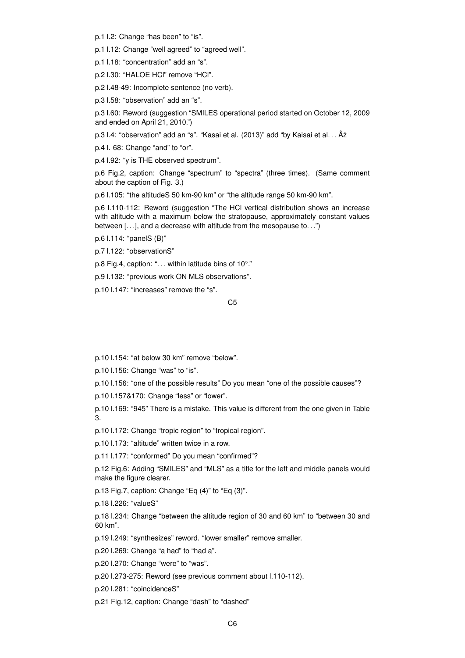p.1 l.2: Change "has been" to "is".

p.1 l.12: Change "well agreed" to "agreed well".

p.1 l.18: "concentration" add an "s".

p.2 l.30: "HALOE HCl" remove "HCl".

p.2 l.48-49: Incomplete sentence (no verb).

p.3 l.58: "observation" add an "s".

p.3 l.60: Reword (suggestion "SMILES operational period started on October 12, 2009 and ended on April 21, 2010.")

p.3 l.4: "observation" add an "s". "Kasai et al. (2013)" add "by Kaisai et al... Âż

p.4 l. 68: Change "and" to "or".

p.4 l.92: "y is THE observed spectrum".

p.6 Fig.2, caption: Change "spectrum" to "spectra" (three times). (Same comment about the caption of Fig. 3.)

p.6 l.105: "the altitudeS 50 km-90 km" or "the altitude range 50 km-90 km".

p.6 l.110-112: Reword (suggestion "The HCl vertical distribution shows an increase with altitude with a maximum below the stratopause, approximately constant values between [...], and a decrease with altitude from the mesopause to...")

p.6 l.114: "panelS (B)"

p.7 l.122: "observationS"

p.8 Fig.4, caption: ". . . within latitude bins of 10◦ ."

p.9 l.132: "previous work ON MLS observations".

p.10 l.147: "increases" remove the "s".

C5

p.10 l.154: "at below 30 km" remove "below".

p.10 l.156: Change "was" to "is".

p.10 l.156: "one of the possible results" Do you mean "one of the possible causes"?

p.10 l.157&170: Change "less" or "lower".

p.10 l.169: "945" There is a mistake. This value is different from the one given in Table 3.

p.10 l.172: Change "tropic region" to "tropical region".

p.10 l.173: "altitude" written twice in a row.

p.11 l.177: "conformed" Do you mean "confirmed"?

p.12 Fig.6: Adding "SMILES" and "MLS" as a title for the left and middle panels would make the figure clearer.

p.13 Fig.7, caption: Change "Eq (4)" to "Eq (3)".

p.18 l.226: "valueS"

p.18 l.234: Change "between the altitude region of 30 and 60 km" to "between 30 and 60 km".

p.19 l.249: "synthesizes" reword. "lower smaller" remove smaller.

p.20 l.269: Change "a had" to "had a".

p.20 l.270: Change "were" to "was".

p.20 l.273-275: Reword (see previous comment about l.110-112).

p.20 l.281: "coincidenceS"

p.21 Fig.12, caption: Change "dash" to "dashed"